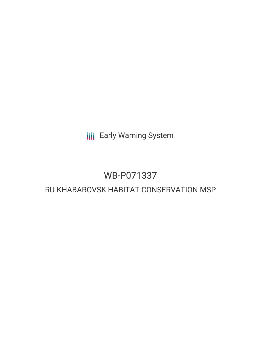**III** Early Warning System

# WB-P071337

# RU-KHABAROVSK HABITAT CONSERVATION MSP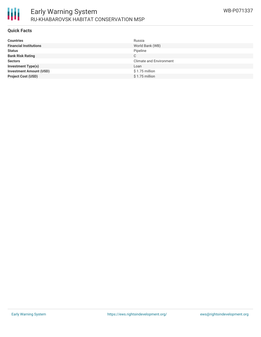

#### **Quick Facts**

| <b>Countries</b>               | Russia                         |
|--------------------------------|--------------------------------|
| <b>Financial Institutions</b>  | World Bank (WB)                |
| <b>Status</b>                  | Pipeline                       |
| <b>Bank Risk Rating</b>        | C                              |
| <b>Sectors</b>                 | <b>Climate and Environment</b> |
| <b>Investment Type(s)</b>      | Loan                           |
| <b>Investment Amount (USD)</b> | $$1.75$ million                |
| <b>Project Cost (USD)</b>      | $$1.75$ million                |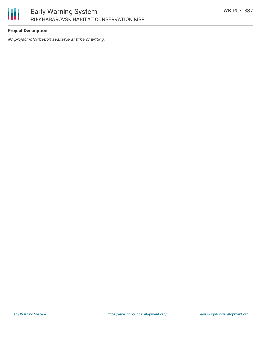

## **Project Description**

No project information available at time of writing.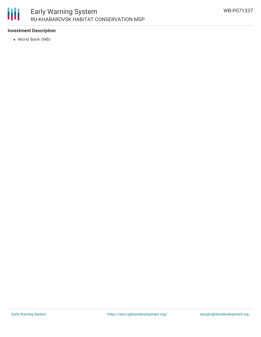

### **Investment Description**

World Bank (WB)